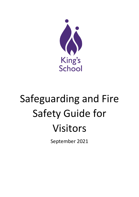

# Safeguarding and Fire Safety Guide for Visitors

September 2021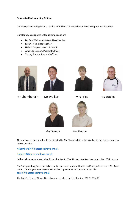#### **Designated Safeguarding Officers**

Our Designated Safeguarding Lead is Mr Richard Chamberlain, who is a Deputy Headteacher.

Our Deputy Designated Safeguarding Leads are

- Mr Ben Walker, Assistant Headteacher
- Sarah Price, Headteacher
- Helena Staples, Head of Year 7
- Amanda Gamon, Pastoral Officer
- Tracey Findon, Pastoral Officer





Mr Chamberlain Mr Walker Mrs Price Ms Staples









All concerns or queries should be directed to Mr Chamberlain or Mr Walker in the first instance in person, or via:

[r.chamberlain@kingsschoolhove.org.uk](mailto:r.chamberlain@kingsschoolhove.org.uk)

[b.walker@kingsschoolhove.org.uk](mailto:b.walker@kingsschoolhove.org.uk)

In their absence concerns should be directed to Mrs S Price, Headteacher or another DDSL above.

Our Safeguarding Governor is Mrs Katherine Laux, and our Health and Safety Governor is Ms Anna Webb. Should you have any concerns, both governors can be contracted via: [admin@kingsschoolhove.org.uk](mailto:admin@kingsschoolhove.org.uk)

The LADO is Darrel Clews, Darrel can be reached by telephoning: 01273 295643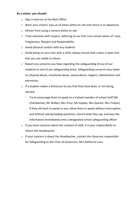### **As a visitor, you should:**

- o Sign in and out at the Main Office
- o Wear your visitors' pass at all times whilst on site and return it on departure
- o Refrain from using a camera whilst on site
- o Treat everyone with respect, adhering to our four core school values of: Love, Forgiveness, Respect and Responsibility
- o Avoid physical contact with any students
- o Avoid being on your own with a child, always ensure that a door is open and that you are visible to others
- o Report any concerns you have regarding the safeguarding of any of our students to one of our safeguarding team. Safeguarding concerns may relate to: physical abuse, emotional abuse, sexual abuse, neglect, radicalisation and extremism
- o If a student makes a disclosure to you that they have been, or are being, abused:
	- Try to encourage them to speak to a trained member of school staff (Mr Chamberlain, Mr Walker, Mrs Price, Ms Staples, Mrs Gamon, Mrs Findon)
	- If they still wish to speak to you: allow them to speak without interruption and without asking leading questions; record what they say; and pass the information immediately onto a designated school safeguarding officer
- o If you have concerns about the conduct of staff, it is your responsibility to inform the Headteacher
- o If your concern is about the Headteacher, contact the Governor responsible for Safeguarding or the Chair of Governors, Mrs Katherine Laux